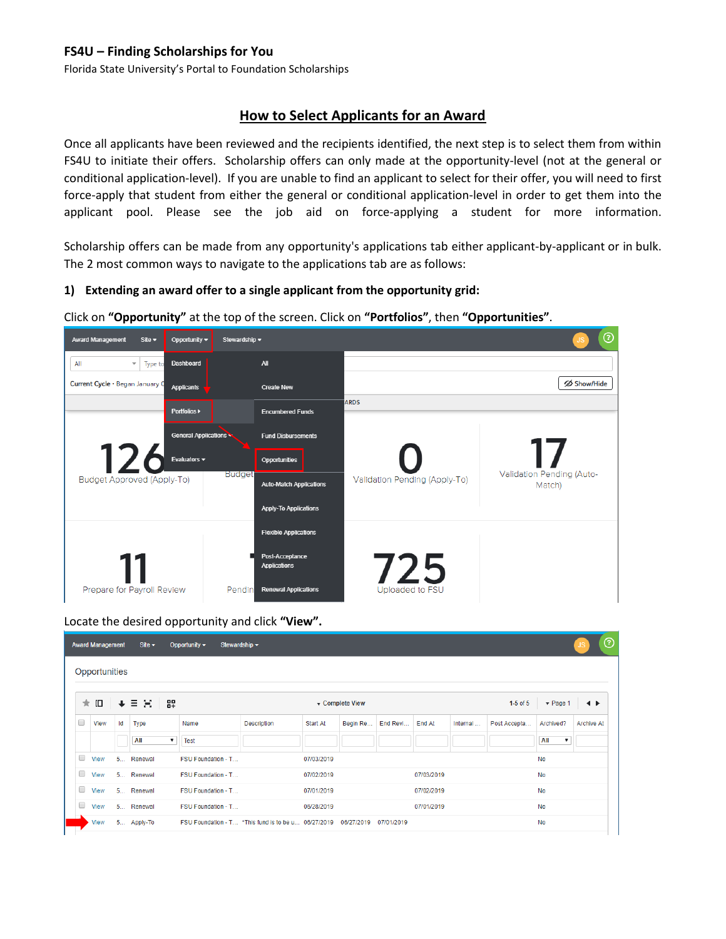Florida State University's Portal to Foundation Scholarships

## **How to Select Applicants for an Award**

Once all applicants have been reviewed and the recipients identified, the next step is to select them from within FS4U to initiate their offers. Scholarship offers can only made at the opportunity-level (not at the general or conditional application-level). If you are unable to find an applicant to select for their offer, you will need to first force-apply that student from either the general or conditional application-level in order to get them into the applicant pool. Please see the job aid on force-applying a student for more information.

Scholarship offers can be made from any opportunity's applications tab either applicant-by-applicant or in bulk. The 2 most common ways to navigate to the applications tab are as follows:

#### **1) Extending an award offer to a single applicant from the opportunity grid:**

Click on **"Opportunity"** at the top of the screen. Click on **"Portfolios"**, then **"Opportunities"**.

| <b>Award Management</b><br>Site $\blacktriangleright$ | Opportunity $\blacktriangledown$<br>Stewardship - |                                        |                               | ℗<br>JS.                            |
|-------------------------------------------------------|---------------------------------------------------|----------------------------------------|-------------------------------|-------------------------------------|
| All<br>Type to<br>$\overline{\mathbf{v}}$             | Dashboard                                         | <b>All</b>                             |                               |                                     |
| Current Cycle . Began January O                       | <b>Applicants</b>                                 | <b>Create New</b>                      |                               | <b>∅ Show/Hide</b>                  |
|                                                       | Portfolios >                                      | <b>Encumbered Funds</b>                | <b>ARDS</b>                   |                                     |
|                                                       | <b>General Applications</b>                       | <b>Fund Disbursements</b>              |                               |                                     |
| 12                                                    | Evaluators -                                      | Opportunities                          |                               |                                     |
| Budget Approved (Apply-To)                            | <b>Budget</b>                                     | <b>Auto-Match Applications</b>         | Validation Pending (Apply-To) | Validation Pending (Auto-<br>Match) |
|                                                       |                                                   | <b>Apply-To Applications</b>           |                               |                                     |
|                                                       |                                                   | <b>Flexible Applications</b>           |                               |                                     |
|                                                       |                                                   | Post-Acceptance<br><b>Applications</b> | 725                           |                                     |
| Prepare for Payroll Review                            | Pendin                                            | <b>Renewal Applications</b>            | Uploaded to FSU               |                                     |

Locate the desired opportunity and click **"View".**

|   | <b>Award Management</b> |             | Site $\blacktriangleright$       | Stewardship $\blacktriangleright$<br>Opportunity $\blacktriangleright$ |                    |            |                 |            |            |          |              |                                  | $\odot$<br>JS.    |
|---|-------------------------|-------------|----------------------------------|------------------------------------------------------------------------|--------------------|------------|-----------------|------------|------------|----------|--------------|----------------------------------|-------------------|
|   | Opportunities           |             |                                  |                                                                        |                    |            |                 |            |            |          |              |                                  |                   |
|   | ★ Ⅲ                     | $\ddotmark$ | 89<br>×<br>Ξ                     |                                                                        |                    |            | ▼ Complete View |            |            |          | $1-5$ of $5$ | $\blacktriangledown$ Page 1      | ◂                 |
| 0 | View                    | ld          | Type                             | Name                                                                   | <b>Description</b> | Start At   | Begin Re        | End Revi   | End At     | Internal | Post Accepta | Archived?                        | <b>Archive At</b> |
|   |                         |             | All<br>$\boldsymbol{\mathrm{v}}$ | <b>Test</b>                                                            |                    |            |                 |            |            |          |              | All<br>$\boldsymbol{\mathrm{v}}$ |                   |
| 0 | View                    |             | 5 Renewal                        | FSU Foundation - T                                                     |                    | 07/03/2019 |                 |            |            |          |              | No                               |                   |
| 0 | View                    |             | 5 Renewal                        | FSU Foundation - T                                                     |                    | 07/02/2019 |                 |            | 07/03/2019 |          |              | <b>No</b>                        |                   |
| O | View                    |             | 5 Renewal                        | FSU Foundation - T                                                     |                    | 07/01/2019 |                 |            | 07/02/2019 |          |              | No                               |                   |
| 0 | View                    |             | 5 Renewal                        | FSU Foundation - T                                                     |                    | 06/28/2019 |                 |            | 07/01/2019 |          |              | <b>No</b>                        |                   |
|   | View                    |             | 5 Apply-To                       | FSU Foundation - T *This fund is to be u 06/27/2019                    |                    |            | 06/27/2019      | 07/01/2019 |            |          |              | No                               |                   |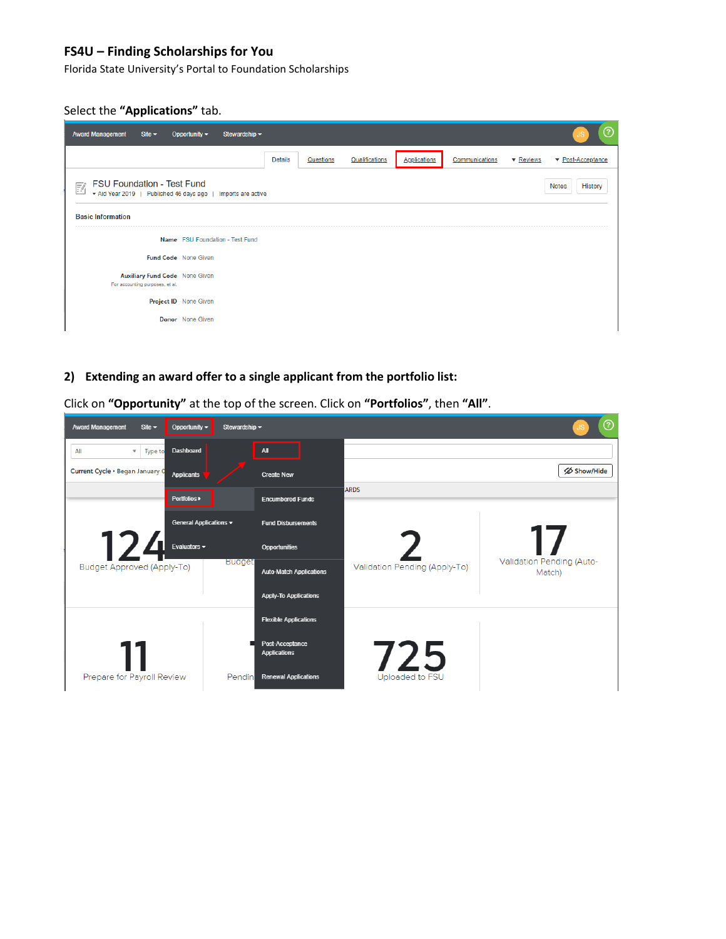Florida State University's Portal to Foundation Scholarships

#### Select the **"Applications"** tab.

| <b>Award Management</b><br>Site $\blacktriangleright$                                                  | Stewardship -<br>Opportunity $\blacktriangledown$ |                |           |                |                     |                |           | ⊙                                    |
|--------------------------------------------------------------------------------------------------------|---------------------------------------------------|----------------|-----------|----------------|---------------------|----------------|-----------|--------------------------------------|
|                                                                                                        |                                                   | <b>Details</b> | Questions | Qualifications | <b>Applications</b> | Communications | ▼ Reviews | $\blacktriangledown$ Post-Acceptance |
| <b>FSU Foundation - Test Fund</b><br>國<br>* Aid Year 2019   Published 46 days ago   Imports are active |                                                   |                |           |                |                     |                |           | History<br><b>Notes</b>              |
| <b>Basic Information</b>                                                                               |                                                   |                |           |                |                     |                |           |                                      |
|                                                                                                        | Name FSU Foundation - Test Fund                   |                |           |                |                     |                |           |                                      |
|                                                                                                        | <b>Fund Code</b> None Given                       |                |           |                |                     |                |           |                                      |
| <b>Auxiliary Fund Code</b> None Given<br>For accounting purposes, et al.                               |                                                   |                |           |                |                     |                |           |                                      |
|                                                                                                        | Project ID None Given                             |                |           |                |                     |                |           |                                      |
|                                                                                                        | <b>Donor</b> None Given                           |                |           |                |                     |                |           |                                      |

**2) Extending an award offer to a single applicant from the portfolio list:**

 $\odot$ Stewardship = Award Management Site  $\star$ Opportunity <del>v</del>  $\blacktriangledown$  Type to  $\mathsf{All}$  $\mathsf{All}$ Dashboard Current Cycle . Began January 0 Show/Hide Applicants **Create New** ARDS Portfolios > **Encumbered Funds** General Applications v **Fund Disbursements** Evaluators  $\overline{\phantom{a}}$ Opportunities Validation Pending (Auto-**Budge** Budget Approved (Apply-To) Validation Pending (Apply-To) **Auto-Match Applications** Match) **Apply-To Applications Flexible Applications** Post-Acceptance **Applications** Prepare for Payroll Review Pendin **Renewal Applications** Uploaded to

Click on **"Opportunity"** at the top of the screen. Click on **"Portfolios"**, then **"All"**.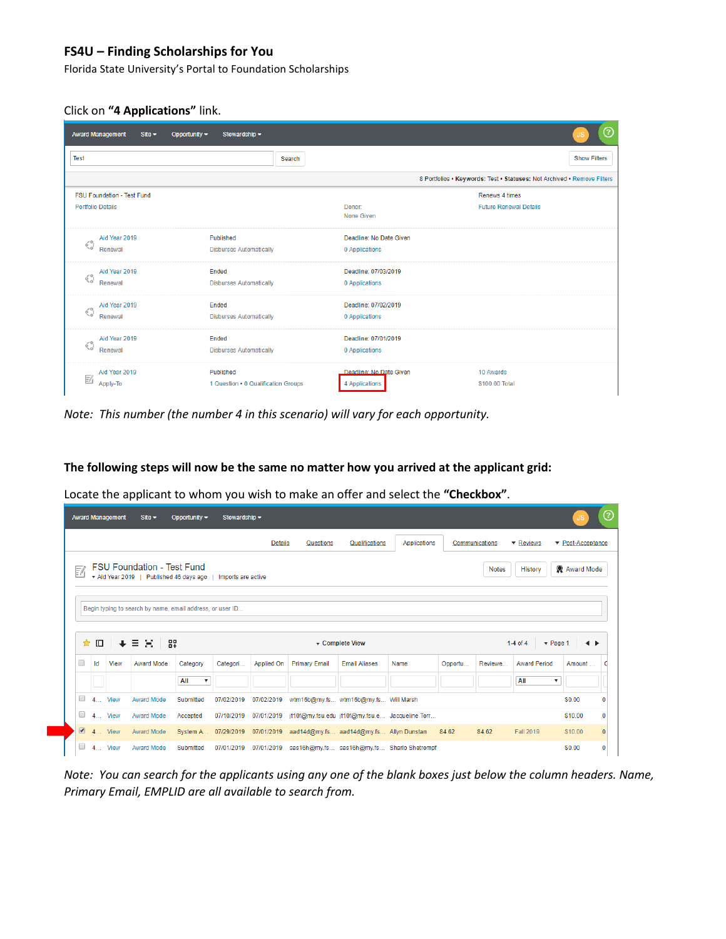Florida State University's Portal to Foundation Scholarships

Click on **"4 Applications"** link.

|             | <b>Award Management</b><br>Site $\blacktriangleright$         | Opportunity $\blacktriangledown$<br>Stewardship - |        |                                           |                                                                         | ဨ |
|-------------|---------------------------------------------------------------|---------------------------------------------------|--------|-------------------------------------------|-------------------------------------------------------------------------|---|
| <b>Test</b> |                                                               |                                                   | Search |                                           | <b>Show Filters</b>                                                     |   |
|             |                                                               |                                                   |        |                                           | 8 Portfolios . Keywords: Test . Statuses: Not Archived . Remove Filters |   |
|             | <b>FSU Foundation - Test Fund</b><br><b>Portfolio Details</b> |                                                   |        | Donor:<br>None Given                      | Renews 4 times<br><b>Future Renewal Details</b>                         |   |
| ୍ଧ          | Aid Year 2019<br>Renewal                                      | Published<br><b>Disburses Automatically</b>       |        | Deadline: No Date Given<br>0 Applications |                                                                         |   |
| ୍ଧ          | Aid Year 2019<br>Renewal                                      | Ended<br><b>Disburses Automatically</b>           |        | Deadline: 07/03/2019<br>0 Applications    |                                                                         |   |
| ୍ଧ          | Aid Year 2019<br>Renewal                                      | Ended<br><b>Disburses Automatically</b>           |        | Deadline: 07/02/2019<br>0 Applications    |                                                                         |   |
| ୍ର          | Aid Year 2019<br>Renewal                                      | Ended<br><b>Disburses Automatically</b>           |        | Deadline: 07/01/2019<br>0 Applications    |                                                                         |   |
| 巨           | Aid Year 2019<br>Apply-To                                     | Published<br>1 Question . 0 Qualification Groups  |        | Deadline: No Date Given<br>4 Applications | 10 Awards<br>\$100.00 Total                                             |   |

*Note: This number (the number 4 in this scenario) will vary for each opportunity.*

**The following steps will now be the same no matter how you arrived at the applicant grid:**

Locate the applicant to whom you wish to make an offer and select the **"Checkbox"**.

|        |         | <b>Award Management</b> | $Site -$                                                                   | Opportunity $\blacktriangledown$ | Stewardship -      |                |                                         |                      |                                                 |         |                |                                         | JS.               | $^{\circ}$   |
|--------|---------|-------------------------|----------------------------------------------------------------------------|----------------------------------|--------------------|----------------|-----------------------------------------|----------------------|-------------------------------------------------|---------|----------------|-----------------------------------------|-------------------|--------------|
|        |         |                         |                                                                            |                                  |                    | <b>Details</b> | Questions                               | Qualifications       | Applications                                    |         | Communications | ▼ Reviews                               | ▼ Post-Acceptance |              |
| 國      |         |                         | <b>FSU Foundation - Test Fund</b><br>Aid Year 2019   Published 46 days ago |                                  | Imports are active |                |                                         |                      |                                                 |         | <b>Notes</b>   | History                                 | Award Mode        |              |
|        |         |                         | Begin typing to search by name, email address, or user ID                  |                                  |                    |                |                                         |                      |                                                 |         |                |                                         |                   |              |
|        |         |                         |                                                                            |                                  |                    |                |                                         |                      |                                                 |         |                |                                         |                   |              |
| ★      |         | $\ddotmark$             |                                                                            |                                  |                    |                |                                         | ▼ Complete View      |                                                 |         |                | 1-4 of 4<br>$\blacktriangledown$ Page 1 | $\rightarrow$     |              |
| □      | 吅<br>Id | View                    | 89<br>目覚<br><b>Award Mode</b>                                              | Category                         | Categori           | Applied On     | <b>Primary Email</b>                    | <b>Email Aliases</b> | Name                                            | Opportu | Reviewe        | <b>Award Period</b>                     | Amount            |              |
|        |         |                         |                                                                            | All<br>$\boldsymbol{\mathrm{v}}$ |                    |                |                                         |                      |                                                 |         |                | All<br>7                                |                   |              |
| □      |         | 4 View                  | <b>Award Mode</b>                                                          | Submitted                        | 07/02/2019         | 07/02/2019     | wtm16b@my.fs wtm16b@my.fs Will Marsh    |                      |                                                 |         |                |                                         | \$0.00            | $\Omega$     |
| $\Box$ |         | 4 View                  | <b>Award Mode</b>                                                          | Accepted                         | 07/10/2019         | 07/01/2019     |                                         |                      | jt10f@my.fsu.edu_jt10f@my.fsu.e Jacqueline Torr |         |                |                                         | \$10.00           | 0            |
|        |         | $\blacksquare$ 4 View   | <b>Award Mode</b>                                                          | System A                         | 07/29/2019         | 07/01/2019     | aad14d@my.fs aad14d@my.fs Allyn Dunstan |                      |                                                 | 84.62   | 84.62          | <b>Fall 2019</b>                        | \$10.00           | $\mathbf{0}$ |

*Note: You can search for the applicants using any one of the blank boxes just below the column headers. Name, Primary Email, EMPLID are all available to search from.*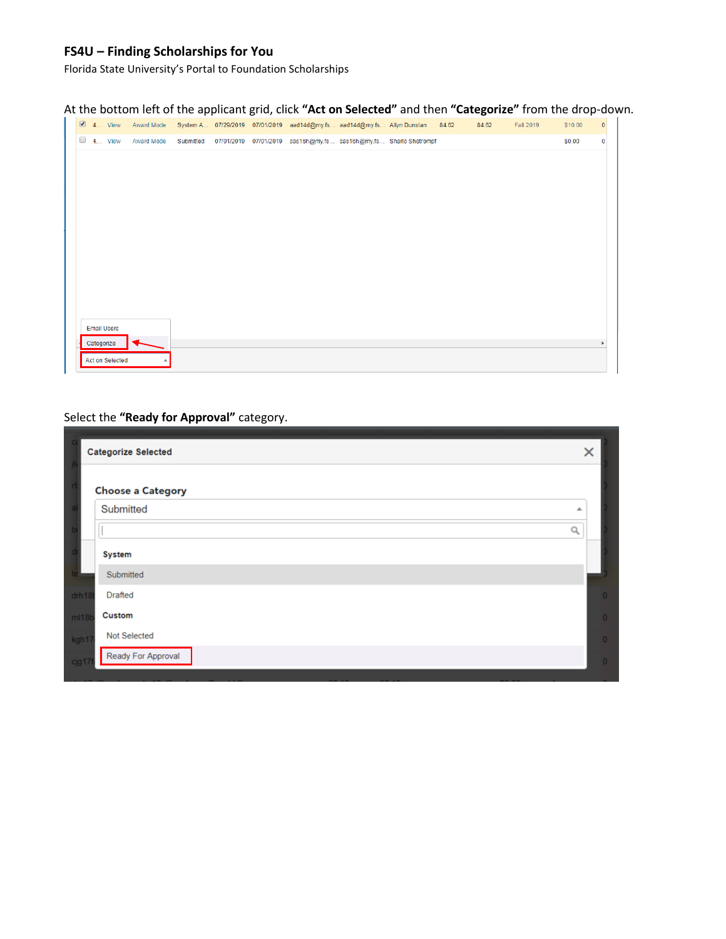Florida State University's Portal to Foundation Scholarships

|  |                       |                   |           |  | At the bottom left of the applicant grid, click "Act on Selected" and then "Categorize" from the drop-down. |       |       |                  |         |              |
|--|-----------------------|-------------------|-----------|--|-------------------------------------------------------------------------------------------------------------|-------|-------|------------------|---------|--------------|
|  | $\blacksquare$ 4 View | Award Mode        |           |  | System A 07/29/2019 07/01/2019 aad14d@my.fs aad14d@my.fs Allyn Dunstan                                      | 84.62 | 84.62 | <b>Fall 2019</b> | \$10.00 | $\mathbf{0}$ |
|  | $\Box$ 4 View         | <b>Award Mode</b> | Submitted |  | 07/01/2019  07/01/2019  sas16h@my.fs  sas16h@my.fs  Sharlo Shetrompf                                        |       |       |                  | \$0.00  | $\bf{0}$     |
|  |                       |                   |           |  |                                                                                                             |       |       |                  |         |              |
|  |                       |                   |           |  |                                                                                                             |       |       |                  |         |              |
|  |                       |                   |           |  |                                                                                                             |       |       |                  |         |              |
|  |                       |                   |           |  |                                                                                                             |       |       |                  |         |              |
|  |                       |                   |           |  |                                                                                                             |       |       |                  |         |              |
|  |                       |                   |           |  |                                                                                                             |       |       |                  |         |              |
|  |                       |                   |           |  |                                                                                                             |       |       |                  |         |              |
|  |                       |                   |           |  |                                                                                                             |       |       |                  |         |              |
|  |                       |                   |           |  |                                                                                                             |       |       |                  |         |              |
|  |                       |                   |           |  |                                                                                                             |       |       |                  |         |              |
|  |                       |                   |           |  |                                                                                                             |       |       |                  |         |              |
|  | <b>Email Users</b>    |                   |           |  |                                                                                                             |       |       |                  |         |              |

# Select the **"Ready for Approval"** category.

Categorize Act on Selected

|                   | <b>Categorize Selected</b> | ×              |
|-------------------|----------------------------|----------------|
|                   | <b>Choose a Category</b>   |                |
|                   | Submitted                  | ┻              |
|                   |                            | Q              |
|                   | <b>System</b>              |                |
| te :              | Submitted                  |                |
| drh <sub>18</sub> | <b>Drafted</b>             | $\overline{0}$ |
| ml18b             | <b>Custom</b>              | $\circ$        |
| kgh17             | Not Selected               | $\overline{0}$ |
| cjg17             | Ready For Approval         | $\circ$        |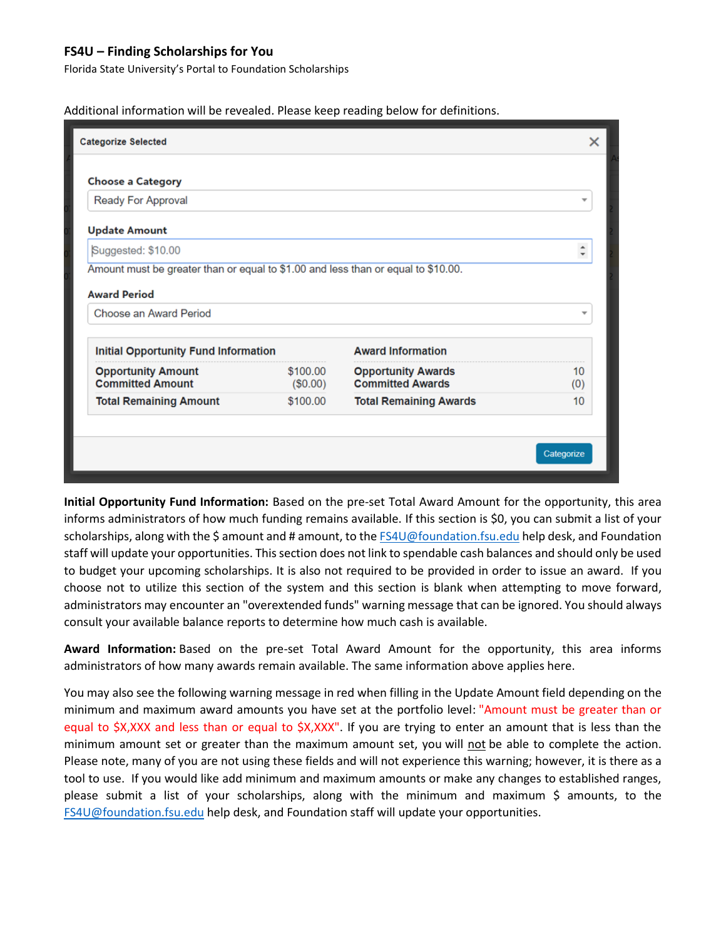Florida State University's Portal to Foundation Scholarships

Additional information will be revealed. Please keep reading below for definitions.

| <b>Categorize Selected</b>                           |                      |                                                      | ×                       |
|------------------------------------------------------|----------------------|------------------------------------------------------|-------------------------|
| <b>Choose a Category</b>                             |                      |                                                      |                         |
| Ready For Approval                                   |                      |                                                      | ▼                       |
| <b>Update Amount</b>                                 |                      |                                                      |                         |
| Suggested: \$10.00                                   |                      |                                                      | $\hat{\mathbb{I}}$      |
| <b>Award Period</b><br>Choose an Award Period        |                      |                                                      | $\overline{\mathbf{v}}$ |
| <b>Initial Opportunity Fund Information</b>          |                      | <b>Award Information</b>                             |                         |
| <b>Opportunity Amount</b><br><b>Committed Amount</b> | \$100.00<br>(\$0.00) | <b>Opportunity Awards</b><br><b>Committed Awards</b> | 10<br>(0)               |
| <b>Total Remaining Amount</b>                        | \$100.00             | <b>Total Remaining Awards</b>                        | 10                      |
|                                                      |                      |                                                      | Categorize              |

**Initial Opportunity Fund Information:** Based on the pre-set Total Award Amount for the opportunity, this area informs administrators of how much funding remains available. If this section is \$0, you can submit a list of your scholarships, along with the \$ amount and # amount, to th[e FS4U@foundation.fsu.edu](mailto:FS4U@foundation.fsu.edu) help desk, and Foundation staff will update your opportunities. This section does not link to spendable cash balances and should only be used to budget your upcoming scholarships. It is also not required to be provided in order to issue an award. If you choose not to utilize this section of the system and this section is blank when attempting to move forward, administrators may encounter an "overextended funds" warning message that can be ignored. You should always consult your available balance reports to determine how much cash is available.

**Award Information:** Based on the pre-set Total Award Amount for the opportunity, this area informs administrators of how many awards remain available. The same information above applies here.

You may also see the following warning message in red when filling in the Update Amount field depending on the minimum and maximum award amounts you have set at the portfolio level: "Amount must be greater than or equal to \$X,XXX and less than or equal to \$X,XXX". If you are trying to enter an amount that is less than the minimum amount set or greater than the maximum amount set, you will not be able to complete the action. Please note, many of you are not using these fields and will not experience this warning; however, it is there as a tool to use. If you would like add minimum and maximum amounts or make any changes to established ranges, please submit a list of your scholarships, along with the minimum and maximum \$ amounts, to the [FS4U@foundation.fsu.edu](mailto:FS4U@foundation.fsu.edu) help desk, and Foundation staff will update your opportunities.